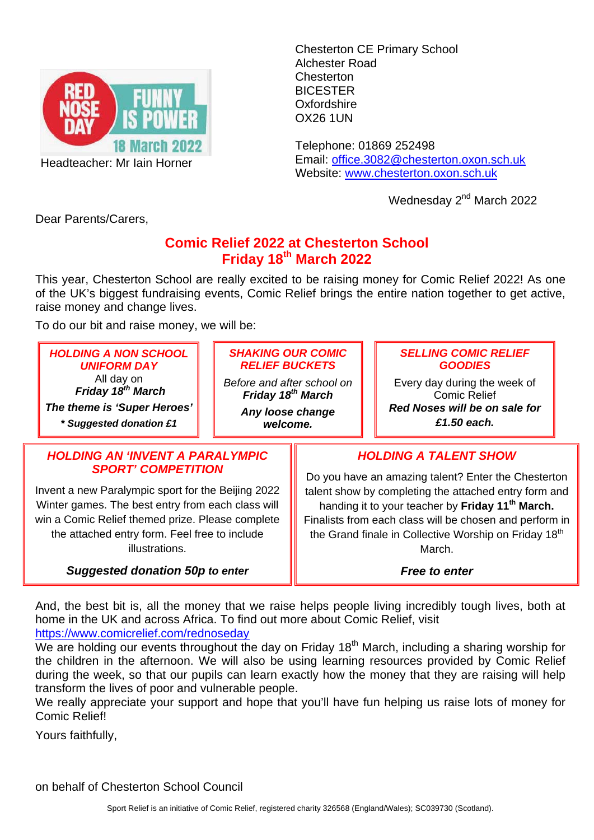

Headteacher: Mr Iain Horner

Chesterton CE Primary School Alchester Road Chesterton BICESTER **Oxfordshire** OX26 1UN

Telephone: 01869 252498 Email: office.3082@chesterton.oxon.sch.uk Website: www.chesterton.oxon.sch.uk

Wednesday 2<sup>nd</sup> March 2022

Dear Parents/Carers,

## **Comic Relief 2022 at Chesterton School Friday 18th March 2022**

This year, Chesterton School are really excited to be raising money for Comic Relief 2022! As one of the UK's biggest fundraising events, Comic Relief brings the entire nation together to get active, raise money and change lives.

To do our bit and raise money, we will be:

| <b>HOLDING A NON SCHOOL</b>                        | <b>SHAKING OUR COMIC</b>      |                                                                   | <b>SELLING COMIC RELIEF</b>   |  |
|----------------------------------------------------|-------------------------------|-------------------------------------------------------------------|-------------------------------|--|
| <b>UNIFORM DAY</b>                                 | <b>RELIEF BUCKETS</b>         |                                                                   | <b>GOODIES</b>                |  |
| All day on                                         | Before and after school on    |                                                                   | Every day during the week of  |  |
| Friday 18 <sup>th</sup> March                      | Friday 18 <sup>th</sup> March |                                                                   | <b>Comic Relief</b>           |  |
| The theme is 'Super Heroes'                        | Any loose change              |                                                                   | Red Noses will be on sale for |  |
| * Suggested donation £1                            | welcome.                      |                                                                   | £1.50 each.                   |  |
| <b>HOLDING AN 'INVENT A PARALYMPIC</b>             |                               | <b>HOLDING A TALENT SHOW</b>                                      |                               |  |
| <b>SPORT' COMPETITION</b>                          |                               | Do you have an amazing talent? Enter the Chesterton               |                               |  |
| Invent a new Paralympic sport for the Beijing 2022 |                               | talent show by completing the attached entry form and             |                               |  |
| Winter games. The best entry from each class will  |                               | handing it to your teacher by Friday 11 <sup>th</sup> March.      |                               |  |
| win a Comic Relief themed prize. Please complete   |                               | Finalists from each class will be chosen and perform in           |                               |  |
| the attached entry form. Feel free to include      |                               | the Grand finale in Collective Worship on Friday 18 <sup>th</sup> |                               |  |

illustrations.

*Suggested donation 50p to enter* 

March. *Free to enter* 

And, the best bit is, all the money that we raise helps people living incredibly tough lives, both at home in the UK and across Africa. To find out more about Comic Relief, visit https://www.comicrelief.com/rednoseday

We are holding our events throughout the day on Friday  $18<sup>th</sup>$  March, including a sharing worship for the children in the afternoon. We will also be using learning resources provided by Comic Relief during the week, so that our pupils can learn exactly how the money that they are raising will help transform the lives of poor and vulnerable people.

We really appreciate your support and hope that you'll have fun helping us raise lots of money for Comic Relief!

Yours faithfully,

on behalf of Chesterton School Council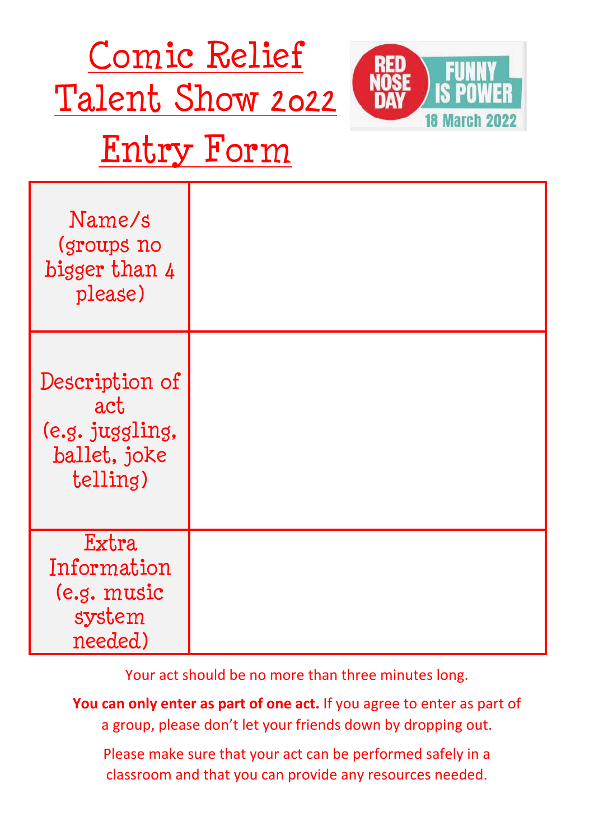



## Entry Form

| Name/s<br>(groups no<br>bigger than 4<br>please)                     |  |
|----------------------------------------------------------------------|--|
| Description of<br>act<br>(e.g. juggling,<br>ballet, joke<br>telling) |  |
| Extra<br>Information<br>(e.g. music<br>system<br>needed)             |  |

Your act should be no more than three minutes long.

**You can only enter as part of one act.** If you agree to enter as part of a group, please don't let your friends down by dropping out.

Please make sure that your act can be performed safely in a classroom and that you can provide any resources needed.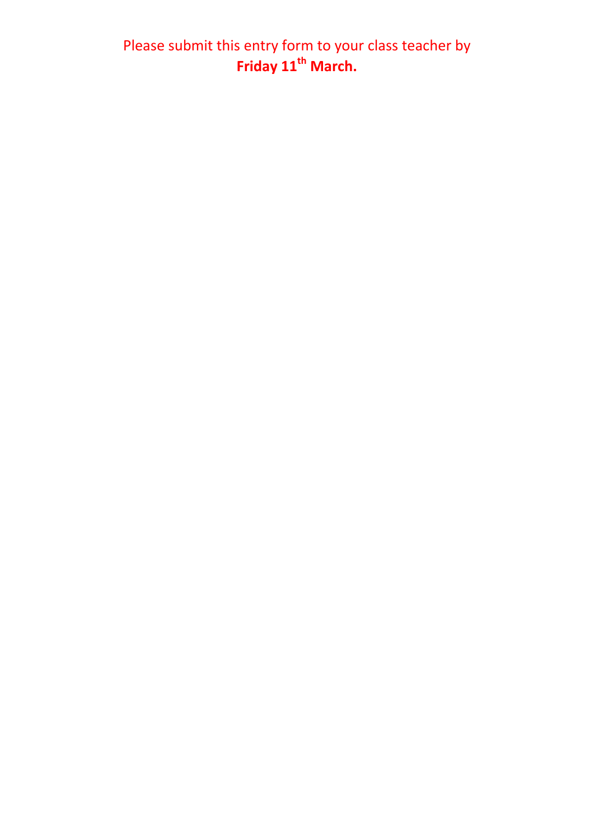Please submit this entry form to your class teacher by **Friday 11th March.**